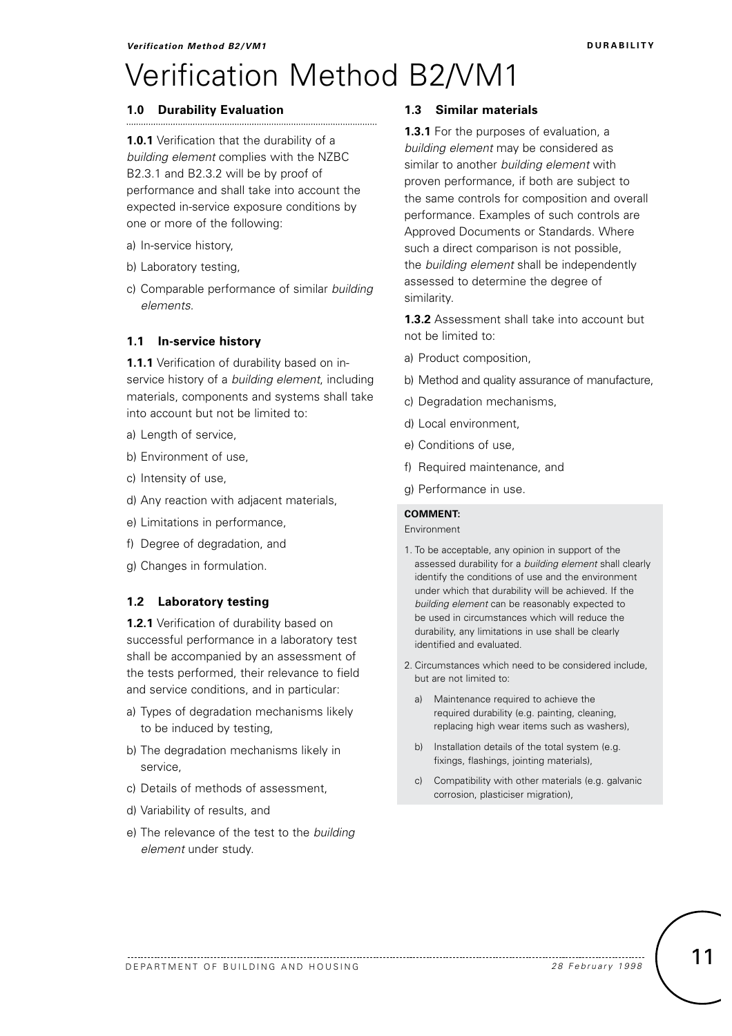# Verification Method B2/VM1

## **1.0 Durability Evaluation**

**1.0.1** Verification that the durability of a *building element* complies with the NZBC B2.3.1 and B2.3.2 will be by proof of performance and shall take into account the expected in-service exposure conditions by one or more of the following:

- a) In-service history,
- b) Laboratory testing,
- c) Comparable performance of similar *building elements.*

### **1.1 In-service history**

**1.1.1** Verification of durability based on inservice history of a *building element*, including materials, components and systems shall take into account but not be limited to:

- a) Length of service,
- b) Environment of use,
- c) Intensity of use,
- d) Any reaction with adjacent materials,
- e) Limitations in performance,
- f) Degree of degradation, and
- g) Changes in formulation.

#### **1.2 Laboratory testing**

**1.2.1** Verification of durability based on successful performance in a laboratory test shall be accompanied by an assessment of the tests performed, their relevance to field and service conditions, and in particular:

- a) Types of degradation mechanisms likely to be induced by testing,
- b) The degradation mechanisms likely in service,
- c) Details of methods of assessment,
- d) Variability of results, and
- e) The relevance of the test to the *building element* under study.

## **1.3 Similar materials**

**1.3.1** For the purposes of evaluation, a *building element* may be considered as similar to another *building element* with proven performance, if both are subject to the same controls for composition and overall performance. Examples of such controls are Approved Documents or Standards. Where such a direct comparison is not possible, the *building element* shall be independently assessed to determine the degree of similarity.

**1.3.2** Assessment shall take into account but not be limited to:

- a) Product composition,
- b) Method and quality assurance of manufacture,
- c) Degradation mechanisms,
- d) Local environment,
- e) Conditions of use,
- f) Required maintenance, and
- g) Performance in use.

## **COMMENT:**

Environment

- 1. To be acceptable, any opinion in support of the assessed durability for a *building element* shall clearly identify the conditions of use and the environment under which that durability will be achieved. If the *building element* can be reasonably expected to be used in circumstances which will reduce the durability, any limitations in use shall be clearly identified and evaluated.
- 2. Circumstances which need to be considered include, but are not limited to:
	- a) Maintenance required to achieve the required durability (e.g. painting, cleaning, replacing high wear items such as washers),
	- b) Installation details of the total system (e.g. fixings, flashings, jointing materials),
	- c) Compatibility with other materials (e.g. galvanic corrosion, plasticiser migration),